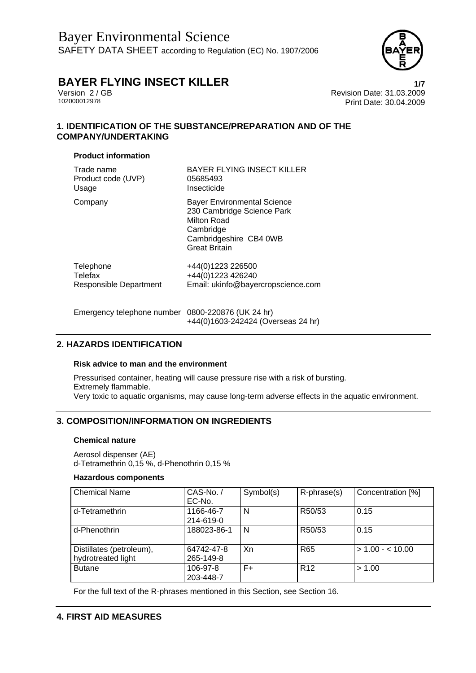

Version 2 / GB<br>
102000012978<br>
Print Date: 30.04.2009 Print Date: 30.04.2009

## **1. IDENTIFICATION OF THE SUBSTANCE/PREPARATION AND OF THE COMPANY/UNDERTAKING**

### **Product information**

| Trade name             | <b>BAYER FLYING INSECT KILLER</b>                                                                                                              |
|------------------------|------------------------------------------------------------------------------------------------------------------------------------------------|
| Product code (UVP)     | 05685493                                                                                                                                       |
| Usage                  | Insecticide                                                                                                                                    |
| Company                | <b>Bayer Environmental Science</b><br>230 Cambridge Science Park<br>Milton Road<br>Cambridge<br>Cambridgeshire CB4 0WB<br><b>Great Britain</b> |
| Telephone              | +44(0)1223 226500                                                                                                                              |
| Telefax                | +44(0)1223 426240                                                                                                                              |
| Responsible Department | Email: ukinfo@bayercropscience.com                                                                                                             |
|                        |                                                                                                                                                |

Emergency telephone number 0800-220876 (UK 24 hr) +44(0)1603-242424 (Overseas 24 hr)

## **2. HAZARDS IDENTIFICATION**

#### **Risk advice to man and the environment**

Pressurised container, heating will cause pressure rise with a risk of bursting. Extremely flammable. Very toxic to aquatic organisms, may cause long-term adverse effects in the aquatic environment.

## **3. COMPOSITION/INFORMATION ON INGREDIENTS**

### **Chemical nature**

Aerosol dispenser (AE) d-Tetramethrin 0,15 %, d-Phenothrin 0,15 %

### **Hazardous components**

| <b>Chemical Name</b>     | CAS-No./    | Symbol(s) | $R$ -phrase $(s)$ | Concentration [%]  |
|--------------------------|-------------|-----------|-------------------|--------------------|
|                          | EC-No.      |           |                   |                    |
| d-Tetramethrin           | 1166-46-7   | N         | R50/53            | 0.15               |
|                          | 214-619-0   |           |                   |                    |
| d-Phenothrin             | 188023-86-1 | N         | R50/53            | 0.15               |
|                          |             |           |                   |                    |
| Distillates (petroleum), | 64742-47-8  | Xn        | R <sub>65</sub>   | $> 1.00 - < 10.00$ |
| hydrotreated light       | 265-149-8   |           |                   |                    |
| <b>Butane</b>            | 106-97-8    | $F+$      | R <sub>12</sub>   | > 1.00             |
|                          | 203-448-7   |           |                   |                    |

For the full text of the R-phrases mentioned in this Section, see Section 16.

# **4. FIRST AID MEASURES**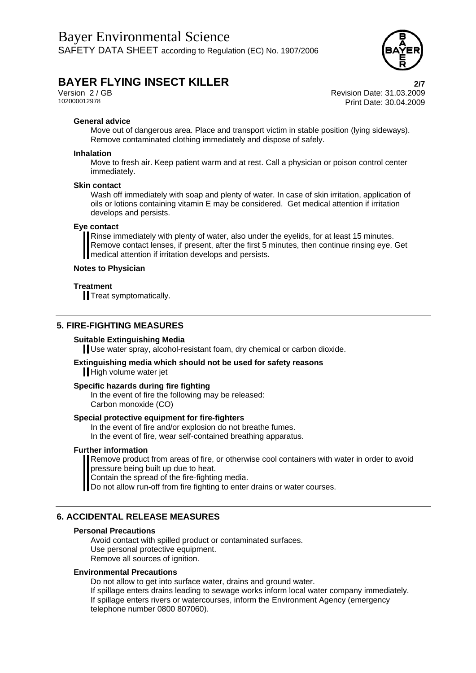

Version 2 / GB Revision Date: 31.03.2009 Print Date: 30.04.2009

#### **General advice**

Move out of dangerous area. Place and transport victim in stable position (lying sideways). Remove contaminated clothing immediately and dispose of safely.

#### **Inhalation**

Move to fresh air. Keep patient warm and at rest. Call a physician or poison control center immediately.

#### **Skin contact**

Wash off immediately with soap and plenty of water. In case of skin irritation, application of oils or lotions containing vitamin E may be considered. Get medical attention if irritation develops and persists.

#### **Eye contact**

Rinse immediately with plenty of water, also under the eyelids, for at least 15 minutes. Remove contact lenses, if present, after the first 5 minutes, then continue rinsing eye. Get medical attention if irritation develops and persists.

#### **Notes to Physician**

#### **Treatment**

**Treat symptomatically.** 

#### **5. FIRE-FIGHTING MEASURES**

#### **Suitable Extinguishing Media**

Use water spray, alcohol-resistant foam, dry chemical or carbon dioxide.

#### **Extinguishing media which should not be used for safety reasons**

High volume water jet

#### **Specific hazards during fire fighting**

In the event of fire the following may be released: Carbon monoxide (CO)

#### **Special protective equipment for fire-fighters**

In the event of fire and/or explosion do not breathe fumes. In the event of fire, wear self-contained breathing apparatus.

#### **Further information**

Remove product from areas of fire, or otherwise cool containers with water in order to avoid pressure being built up due to heat.

Contain the spread of the fire-fighting media.

Do not allow run-off from fire fighting to enter drains or water courses.

#### **6. ACCIDENTAL RELEASE MEASURES**

#### **Personal Precautions**

Avoid contact with spilled product or contaminated surfaces. Use personal protective equipment. Remove all sources of ignition.

#### **Environmental Precautions**

Do not allow to get into surface water, drains and ground water.

If spillage enters drains leading to sewage works inform local water company immediately. If spillage enters rivers or watercourses, inform the Environment Agency (emergency telephone number 0800 807060).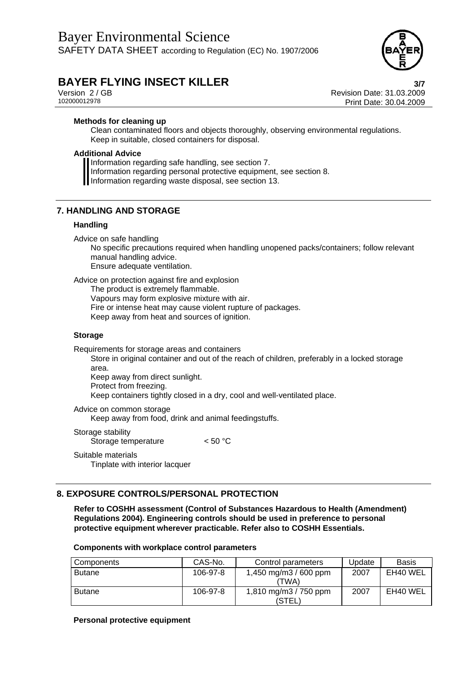

Version 2 / GB Revision Date: 31.03.2009 Print Date: 30.04.2009

#### **Methods for cleaning up**

Clean contaminated floors and objects thoroughly, observing environmental regulations. Keep in suitable, closed containers for disposal.

### **Additional Advice**

Information regarding safe handling, see section 7.

Information regarding personal protective equipment, see section 8.

Information regarding waste disposal, see section 13.

### **7. HANDLING AND STORAGE**

## **Handling**

Advice on safe handling

No specific precautions required when handling unopened packs/containers; follow relevant manual handling advice.

Ensure adequate ventilation.

Advice on protection against fire and explosion

The product is extremely flammable.

Vapours may form explosive mixture with air.

Fire or intense heat may cause violent rupture of packages.

Keep away from heat and sources of ignition.

#### **Storage**

Requirements for storage areas and containers

Store in original container and out of the reach of children, preferably in a locked storage area.

Keep away from direct sunlight.

Protect from freezing.

Keep containers tightly closed in a dry, cool and well-ventilated place.

Advice on common storage

Keep away from food, drink and animal feedingstuffs.

Storage stability Storage temperature <50 °C

Suitable materials Tinplate with interior lacquer

## **8. EXPOSURE CONTROLS/PERSONAL PROTECTION**

**Refer to COSHH assessment (Control of Substances Hazardous to Health (Amendment) Regulations 2004). Engineering controls should be used in preference to personal protective equipment wherever practicable. Refer also to COSHH Essentials.** 

| Components    | CAS-No.  | Control parameters              | Update | <b>Basis</b> |
|---------------|----------|---------------------------------|--------|--------------|
| <b>Butane</b> | 106-97-8 | 1,450 mg/m3 / 600 ppm<br>(TWA)  | 2007   | EH40 WEL     |
| <b>Butane</b> | 106-97-8 | 1,810 mg/m3 / 750 ppm<br>(STEL) | 2007   | EH40 WEL     |

#### **Components with workplace control parameters**

#### **Personal protective equipment**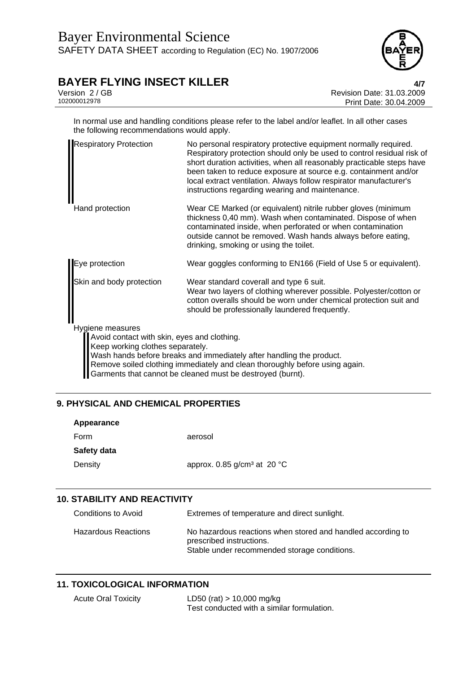

Version 2 / GB Revision Date: 31.03.2009 Print Date: 30.04.2009

In normal use and handling conditions please refer to the label and/or leaflet. In all other cases the following recommendations would apply.

| <b>Respiratory Protection</b>                                                                       | No personal respiratory protective equipment normally required.<br>Respiratory protection should only be used to control residual risk of<br>short duration activities, when all reasonably practicable steps have<br>been taken to reduce exposure at source e.g. containment and/or<br>local extract ventilation. Always follow respirator manufacturer's<br>instructions regarding wearing and maintenance. |
|-----------------------------------------------------------------------------------------------------|----------------------------------------------------------------------------------------------------------------------------------------------------------------------------------------------------------------------------------------------------------------------------------------------------------------------------------------------------------------------------------------------------------------|
| Hand protection                                                                                     | Wear CE Marked (or equivalent) nitrile rubber gloves (minimum<br>thickness 0,40 mm). Wash when contaminated. Dispose of when<br>contaminated inside, when perforated or when contamination<br>outside cannot be removed. Wash hands always before eating,<br>drinking, smoking or using the toilet.                                                                                                            |
| Eye protection                                                                                      | Wear goggles conforming to EN166 (Field of Use 5 or equivalent).                                                                                                                                                                                                                                                                                                                                               |
| Skin and body protection                                                                            | Wear standard coverall and type 6 suit.<br>Wear two layers of clothing wherever possible. Polyester/cotton or<br>cotton overalls should be worn under chemical protection suit and<br>should be professionally laundered frequently.                                                                                                                                                                           |
| Hygiene measures<br>Avoid contact with skin, eyes and clothing.<br>Keep working clothes separately. | Wash hands before breaks and immediately after handling the product.<br>Remove soiled clothing immediately and clean thoroughly before using again.<br>Garments that cannot be cleaned must be destroyed (burnt).                                                                                                                                                                                              |

# **9. PHYSICAL AND CHEMICAL PROPERTIES**

| Appearance  |                                                   |
|-------------|---------------------------------------------------|
| Form        | aerosol                                           |
| Safety data |                                                   |
| Density     | approx. 0.85 g/cm <sup>3</sup> at 20 $^{\circ}$ C |

# **10. STABILITY AND REACTIVITY**

| Conditions to Avoid        | Extremes of temperature and direct sunlight.                                                                                            |
|----------------------------|-----------------------------------------------------------------------------------------------------------------------------------------|
| <b>Hazardous Reactions</b> | No hazardous reactions when stored and handled according to<br>prescribed instructions.<br>Stable under recommended storage conditions. |

# **11. TOXICOLOGICAL INFORMATION**

| <b>Acute Oral Toxicity</b> | LD50 (rat) $> 10,000$ mg/kg                |
|----------------------------|--------------------------------------------|
|                            | Test conducted with a similar formulation. |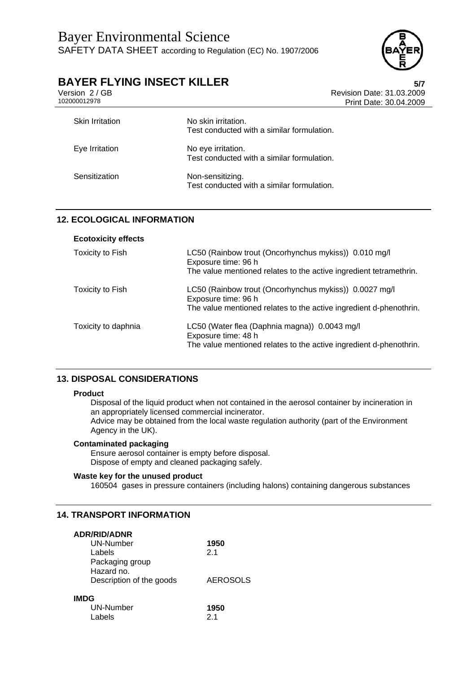

Version 2 / GB Revision Date: 31.03.2009 Print Date: 30.04.2009

| <b>Skin Irritation</b> | No skin irritation.<br>Test conducted with a similar formulation. |
|------------------------|-------------------------------------------------------------------|
| Eye Irritation         | No eye irritation.<br>Test conducted with a similar formulation.  |
| Sensitization          | Non-sensitizing.<br>Test conducted with a similar formulation.    |

# **12. ECOLOGICAL INFORMATION**

| <b>Ecotoxicity effects</b> |                                                                                                                                                     |
|----------------------------|-----------------------------------------------------------------------------------------------------------------------------------------------------|
| Toxicity to Fish           | LC50 (Rainbow trout (Oncorhynchus mykiss)) 0.010 mg/l<br>Exposure time: 96 h                                                                        |
|                            | The value mentioned relates to the active ingredient tetramethrin.                                                                                  |
| Toxicity to Fish           | LC50 (Rainbow trout (Oncorhynchus mykiss)) 0.0027 mg/l<br>Exposure time: 96 h<br>The value mentioned relates to the active ingredient d-phenothrin. |
|                            |                                                                                                                                                     |
| Toxicity to daphnia        | LC50 (Water flea (Daphnia magna)) 0.0043 mg/l<br>Exposure time: 48 h                                                                                |
|                            | The value mentioned relates to the active ingredient d-phenothrin.                                                                                  |

## **13. DISPOSAL CONSIDERATIONS**

#### **Product**

Disposal of the liquid product when not contained in the aerosol container by incineration in an appropriately licensed commercial incinerator. Advice may be obtained from the local waste regulation authority (part of the Environment Agency in the UK).

### **Contaminated packaging**

Ensure aerosol container is empty before disposal. Dispose of empty and cleaned packaging safely.

## **Waste key for the unused product**

160504 gases in pressure containers (including halons) containing dangerous substances

## **14. TRANSPORT INFORMATION**

| <b>ADR/RID/ADNR</b>      |                 |
|--------------------------|-----------------|
| UN-Number                | 1950            |
| Labels                   | 2 <sub>1</sub>  |
| Packaging group          |                 |
| Hazard no.               |                 |
| Description of the goods | <b>AEROSOLS</b> |
| IMDG                     |                 |
| UN-Number                | 1950            |
| I abels                  | 2 <sub>1</sub>  |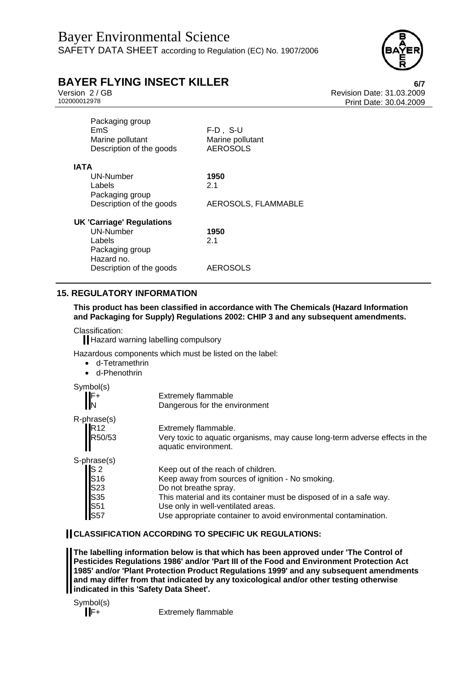

Version 2 / GB<br>
102000012978<br>
Print Date: 30.04.2009 Print Date: 30.04.2009

| $F-D$ , S-U<br>Marine pollutant<br><b>AEROSOLS</b> |
|----------------------------------------------------|
|                                                    |
| 1950                                               |
| 2.1                                                |
|                                                    |
| AEROSOLS, FLAMMABLE                                |
|                                                    |
| 1950                                               |
| 21                                                 |
|                                                    |
|                                                    |
| <b>AEROSOLS</b>                                    |
|                                                    |

# **15. REGULATORY INFORMATION**

**This product has been classified in accordance with The Chemicals (Hazard Information and Packaging for Supply) Regulations 2002: CHIP 3 and any subsequent amendments.** 

Classification:

Hazard warning labelling compulsory

Hazardous components which must be listed on the label:

- d-Tetramethrin
- d-Phenothrin

| Symbol(s)                                           |                                                                                                     |
|-----------------------------------------------------|-----------------------------------------------------------------------------------------------------|
| $\parallel^{\mathsf{F+}}_{\mathsf{N}}$              | <b>Extremely flammable</b>                                                                          |
|                                                     | Dangerous for the environment                                                                       |
| R-phrase(s)                                         |                                                                                                     |
|                                                     | Extremely flammable.                                                                                |
| R <sub>12</sub><br>R <sub>50/53</sub>               | Very toxic to aquatic organisms, may cause long-term adverse effects in the<br>aquatic environment. |
| S-phrase(s)                                         |                                                                                                     |
|                                                     | Keep out of the reach of children.                                                                  |
|                                                     | Keep away from sources of ignition - No smoking.                                                    |
|                                                     | Do not breathe spray.                                                                               |
|                                                     | This material and its container must be disposed of in a safe way.                                  |
|                                                     | Use only in well-ventilated areas.                                                                  |
| S 2<br>S 16<br>S 23<br>S 35<br>S 51<br>S 57<br>S 57 | Use appropriate container to avoid environmental contamination.                                     |

### **CLASSIFICATION ACCORDING TO SPECIFIC UK REGULATIONS:**

**The labelling information below is that which has been approved under 'The Control of Pesticides Regulations 1986' and/or 'Part III of the Food and Environment Protection Act 1985' and/or 'Plant Protection Product Regulations 1999' and any subsequent amendments and may differ from that indicated by any toxicological and/or other testing otherwise indicated in this 'Safety Data Sheet'.** 

Symbol(s)

**F**+ Extremely flammable